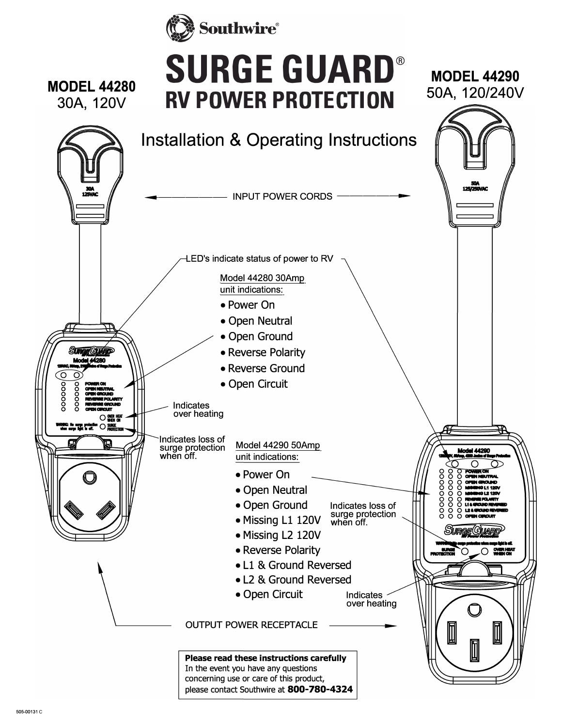



## **SURGE GUARD® RV POWER PROTECTION**

M0DEL44290 50A, 120/240V